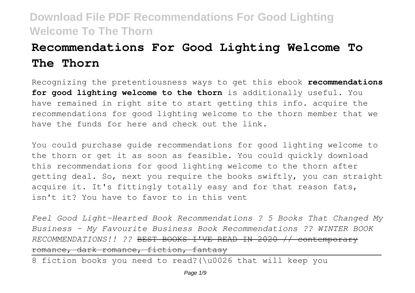# **Recommendations For Good Lighting Welcome To The Thorn**

Recognizing the pretentiousness ways to get this ebook **recommendations for good lighting welcome to the thorn** is additionally useful. You have remained in right site to start getting this info. acquire the recommendations for good lighting welcome to the thorn member that we have the funds for here and check out the link.

You could purchase guide recommendations for good lighting welcome to the thorn or get it as soon as feasible. You could quickly download this recommendations for good lighting welcome to the thorn after getting deal. So, next you require the books swiftly, you can straight acquire it. It's fittingly totally easy and for that reason fats, isn't it? You have to favor to in this vent

*Feel Good Light-Hearted Book Recommendations ? 5 Books That Changed My Business – My Favourite Business Book Recommendations ?? WINTER BOOK RECOMMENDATIONS!! ??* BEST BOOKS I'VE READ IN 2020 // contemporary romance, dark romance, fiction, fantasy

8 fiction books you need to read?(\u0026 that will keep you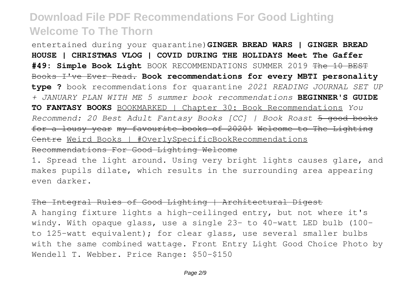entertained during your quarantine)**GINGER BREAD WARS | GINGER BREAD HOUSE | CHRISTMAS VLOG | COVID DURING THE HOLIDAYS Meet The Gaffer #49: Simple Book Light** BOOK RECOMMENDATIONS SUMMER 2019 The 10 BEST Books I've Ever Read. **Book recommendations for every MBTI personality type ?** book recommendations for quarantine *2021 READING JOURNAL SET UP + JANUARY PLAN WITH ME 5 summer book recommendations* **BEGINNER'S GUIDE TO FANTASY BOOKS** BOOKMARKED | Chapter 30: Book Recommendations *You Recommend: 20 Best Adult Fantasy Books [CC] | Book Roast* 5 good books for a lousy year my favourite books of 2020! Welcome to The Lighting Centre Weird Books | #OverlySpecificBookRecommendations Recommendations For Good Lighting Welcome

1. Spread the light around. Using very bright lights causes glare, and makes pupils dilate, which results in the surrounding area appearing even darker.

The Integral Rules of Good Lighting | Architectural Digest A hanging fixture lights a high-ceilinged entry, but not where it's windy. With opaque glass, use a single 23- to 40-watt LED bulb (100 to 125-watt equivalent); for clear glass, use several smaller bulbs with the same combined wattage. Front Entry Light Good Choice Photo by Wendell T. Webber. Price Range: \$50-\$150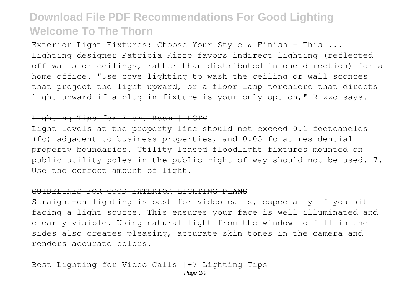Exterior Light Fixtures: Choose Your Style & Finish - This ... Lighting designer Patricia Rizzo favors indirect lighting (reflected off walls or ceilings, rather than distributed in one direction) for a home office. "Use cove lighting to wash the ceiling or wall sconces that project the light upward, or a floor lamp torchiere that directs light upward if a plug-in fixture is your only option," Rizzo says.

### Lighting Tips for Every Room | HGTV

Light levels at the property line should not exceed 0.1 footcandles (fc) adjacent to business properties, and 0.05 fc at residential property boundaries. Utility leased floodlight fixtures mounted on public utility poles in the public right-of-way should not be used. 7. Use the correct amount of light.

#### GUIDELINES FOR GOOD EXTERIOR LIGHTING PLANS

Straight-on lighting is best for video calls, especially if you sit facing a light source. This ensures your face is well illuminated and clearly visible. Using natural light from the window to fill in the sides also creates pleasing, accurate skin tones in the camera and renders accurate colors.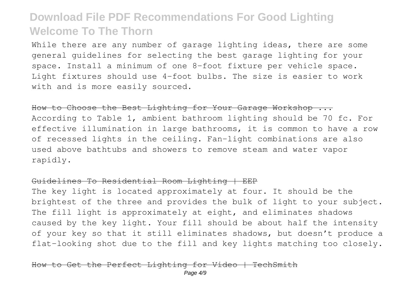While there are any number of garage lighting ideas, there are some general guidelines for selecting the best garage lighting for your space. Install a minimum of one 8-foot fixture per vehicle space. Light fixtures should use 4-foot bulbs. The size is easier to work with and is more easily sourced.

How to Choose the Best Lighting for Your Garage Workshop ... According to Table 1, ambient bathroom lighting should be 70 fc. For effective illumination in large bathrooms, it is common to have a row of recessed lights in the ceiling. Fan-light combinations are also used above bathtubs and showers to remove steam and water vapor rapidly.

### Guidelines To Residential Room Lighting | EEP

The key light is located approximately at four. It should be the brightest of the three and provides the bulk of light to your subject. The fill light is approximately at eight, and eliminates shadows caused by the key light. Your fill should be about half the intensity of your key so that it still eliminates shadows, but doesn't produce a flat-looking shot due to the fill and key lights matching too closely.

### Perfect Lighting for Video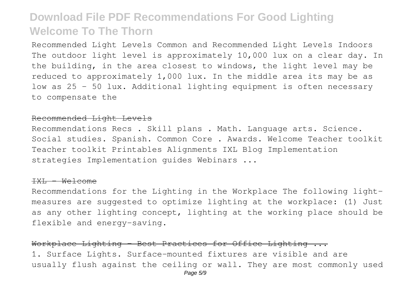Recommended Light Levels Common and Recommended Light Levels Indoors The outdoor light level is approximately 10,000 lux on a clear day. In the building, in the area closest to windows, the light level may be reduced to approximately 1,000 lux. In the middle area its may be as low as 25 - 50 lux. Additional lighting equipment is often necessary to compensate the

### Recommended Light Levels

Recommendations Recs . Skill plans . Math. Language arts. Science. Social studies. Spanish. Common Core . Awards. Welcome Teacher toolkit Teacher toolkit Printables Alignments IXL Blog Implementation strategies Implementation guides Webinars ...

#### IXL – Welcome

Recommendations for the Lighting in the Workplace The following lightmeasures are suggested to optimize lighting at the workplace: (1) Just as any other lighting concept, lighting at the working place should be flexible and energy-saving.

Workplace Lighting - Best Practices for Office Lighting ... 1. Surface Lights. Surface-mounted fixtures are visible and are usually flush against the ceiling or wall. They are most commonly used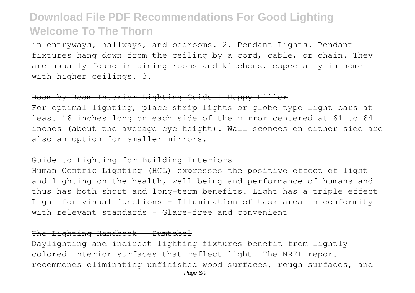in entryways, hallways, and bedrooms. 2. Pendant Lights. Pendant fixtures hang down from the ceiling by a cord, cable, or chain. They are usually found in dining rooms and kitchens, especially in home with higher ceilings. 3.

#### Room-by-Room Interior Lighting Guide | Happy Hiller

For optimal lighting, place strip lights or globe type light bars at least 16 inches long on each side of the mirror centered at 61 to 64 inches (about the average eye height). Wall sconces on either side are also an option for smaller mirrors.

### Guide to Lighting for Building Interiors

Human Centric Lighting (HCL) expresses the positive effect of light and lighting on the health, well-being and performance of humans and thus has both short and long-term benefits. Light has a triple effect Light for visual functions – Illumination of task area in conformity with relevant standards – Glare-free and convenient

### The Lighting Handbook - Zumtobel

Daylighting and indirect lighting fixtures benefit from lightly colored interior surfaces that reflect light. The NREL report recommends eliminating unfinished wood surfaces, rough surfaces, and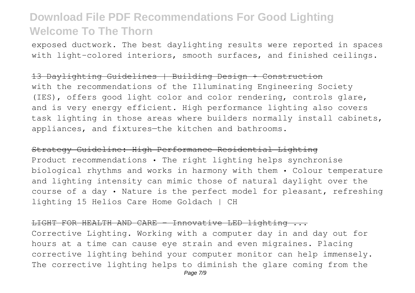exposed ductwork. The best daylighting results were reported in spaces with light-colored interiors, smooth surfaces, and finished ceilings.

#### 13 Daylighting Guidelines | Building Design + Construction

with the recommendations of the Illuminating Engineering Society (IES), offers good light color and color rendering, controls glare, and is very energy efficient. High performance lighting also covers task lighting in those areas where builders normally install cabinets, appliances, and fixtures—the kitchen and bathrooms.

Strategy Guideline: High Performance Residential Lighting Product recommendations • The right lighting helps synchronise biological rhythms and works in harmony with them • Colour temperature and lighting intensity can mimic those of natural daylight over the course of a day • Nature is the perfect model for pleasant, refreshing lighting 15 Helios Care Home Goldach | CH

#### LIGHT FOR HEALTH AND CARE - Innovative LED lighting ...

Corrective Lighting. Working with a computer day in and day out for hours at a time can cause eye strain and even migraines. Placing corrective lighting behind your computer monitor can help immensely. The corrective lighting helps to diminish the glare coming from the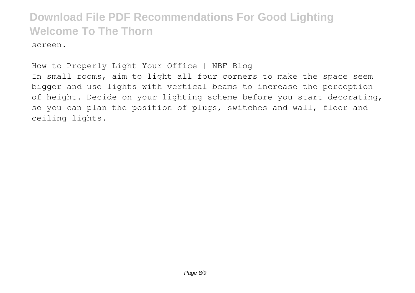screen.

### How to Properly Light Your Office | NBF Blog

In small rooms, aim to light all four corners to make the space seem bigger and use lights with vertical beams to increase the perception of height. Decide on your lighting scheme before you start decorating, so you can plan the position of plugs, switches and wall, floor and ceiling lights.